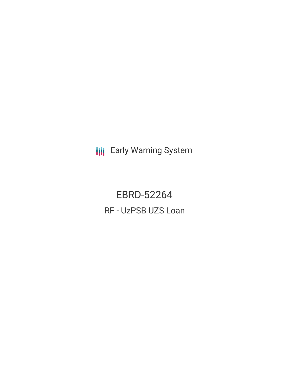**III** Early Warning System

EBRD-52264 RF - UzPSB UZS Loan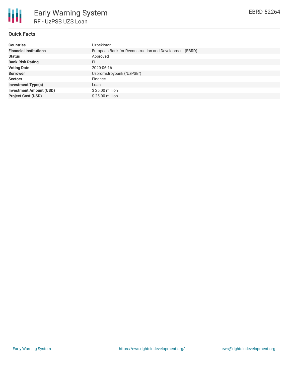

## **Quick Facts**

| <b>Countries</b>               | Uzbekistan                                              |
|--------------------------------|---------------------------------------------------------|
| <b>Financial Institutions</b>  | European Bank for Reconstruction and Development (EBRD) |
| <b>Status</b>                  | Approved                                                |
| <b>Bank Risk Rating</b>        | FI                                                      |
| <b>Voting Date</b>             | 2020-06-16                                              |
| <b>Borrower</b>                | Uzpromstroybank ("UzPSB")                               |
| <b>Sectors</b>                 | Finance                                                 |
| <b>Investment Type(s)</b>      | Loan                                                    |
| <b>Investment Amount (USD)</b> | $$25.00$ million                                        |
| <b>Project Cost (USD)</b>      | \$25,00 million                                         |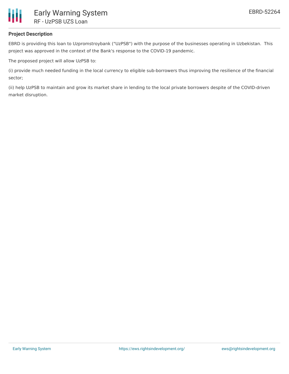

## **Project Description**

EBRD is providing this loan to Uzpromstroybank ("UzPSB") with the purpose of the businesses operating in Uzbekistan. This project was approved in the context of the Bank's response to the COVID-19 pandemic.

The proposed project will allow UzPSB to:

(i) provide much needed funding in the local currency to eligible sub-borrowers thus improving the resilience of the financial sector;

(ii) help UzPSB to maintain and grow its market share in lending to the local private borrowers despite of the COVID-driven market disruption.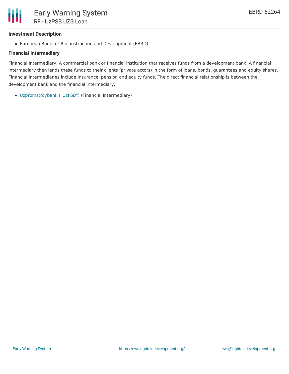## **Investment Description**

European Bank for Reconstruction and Development (EBRD)

## **Financial Intermediary**

Financial Intermediary: A commercial bank or financial institution that receives funds from a development bank. A financial intermediary then lends these funds to their clients (private actors) in the form of loans, bonds, guarantees and equity shares. Financial intermediaries include insurance, pension and equity funds. The direct financial relationship is between the development bank and the financial intermediary.

[Uzpromstroybank](file:///actor/3425/) ("UzPSB") (Financial Intermediary)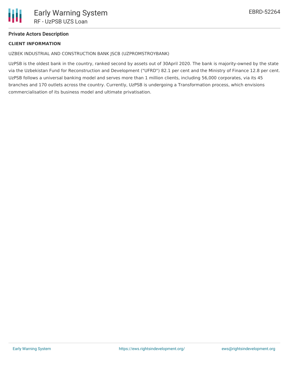# **Private Actors Description**

## **CLIENT INFORMATION**

UZBEK INDUSTRIAL AND CONSTRUCTION BANK JSCB (UZPROMSTROYBANK)

UzPSB is the oldest bank in the country, ranked second by assets out of 30April 2020. The bank is majority-owned by the state via the Uzbekistan Fund for Reconstruction and Development ("UFRD") 82.1 per cent and the Ministry of Finance 12.8 per cent. UzPSB follows a universal banking model and serves more than 1 million clients, including 56,000 corporates, via its 45 branches and 170 outlets across the country. Currently, UzPSB is undergoing a Transformation process, which envisions commercialisation of its business model and ultimate privatisation.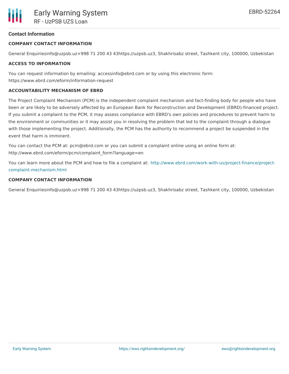## **Contact Information**

#### **COMPANY CONTACT INFORMATION**

General Enquiriesinfo@uzpsb.uz+998 71 200 43 43https://uzpsb.uz3, Shakhrisabz street, Tashkent city, 100000, Uzbekistan

#### **ACCESS TO INFORMATION**

You can request information by emailing: accessinfo@ebrd.com or by using this electronic form: https://www.ebrd.com/eform/information-request

#### **ACCOUNTABILITY MECHANISM OF EBRD**

The Project Complaint Mechanism (PCM) is the independent complaint mechanism and fact-finding body for people who have been or are likely to be adversely affected by an European Bank for Reconstruction and Development (EBRD)-financed project. If you submit a complaint to the PCM, it may assess compliance with EBRD's own policies and procedures to prevent harm to the environment or communities or it may assist you in resolving the problem that led to the complaint through a dialogue with those implementing the project. Additionally, the PCM has the authority to recommend a project be suspended in the event that harm is imminent.

You can contact the PCM at: pcm@ebrd.com or you can submit a complaint online using an online form at: http://www.ebrd.com/eform/pcm/complaint\_form?language=en

You can learn more about the PCM and how to file a complaint at: [http://www.ebrd.com/work-with-us/project-finance/project](http://www.ebrd.com/work-with-us/project-finance/project-complaint-mechanism.html)complaint-mechanism.html

#### **COMPANY CONTACT INFORMATION**

General Enquiriesinfo@uzpsb.uz+998 71 200 43 43https://uzpsb.uz3, Shakhrisabz street, Tashkent city, 100000, Uzbekistan